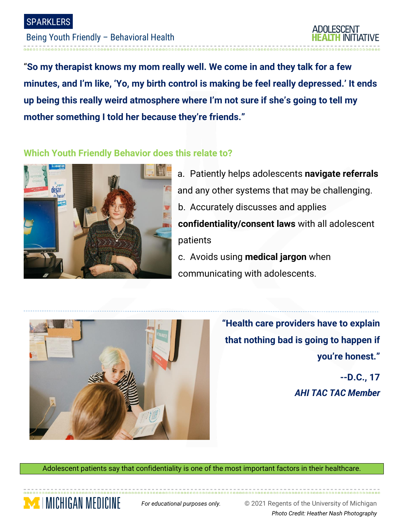---------------------

## Being Youth Friendly – Behavioral Health

**ADOLESCENT** 

"**So my therapist knows my mom really well. We come in and they talk for a few minutes, and I'm like, 'Yo, my birth control is making be feel really depressed.' It ends up being this really weird atmosphere where I'm not sure if she's going to tell my mother something I told her because they're friends."**

## **Which Youth Friendly Behavior does this relate to?**



- a. Patiently helps adolescents **navigate referrals** and any other systems that may be challenging. b. Accurately discusses and applies **confidentiality/consent laws** with all adolescent patients c. Avoids using **medical jargon** when
- communicating with adolescents.



**TIMICHIGAN MEDICINE** 

**"Health care providers have to explain that nothing bad is going to happen if you're honest."**

**--D.C., 17** *AHI TAC TAC Member* 

Adolescent patients say that confidentiality is one of the most important factors in their healthcare.